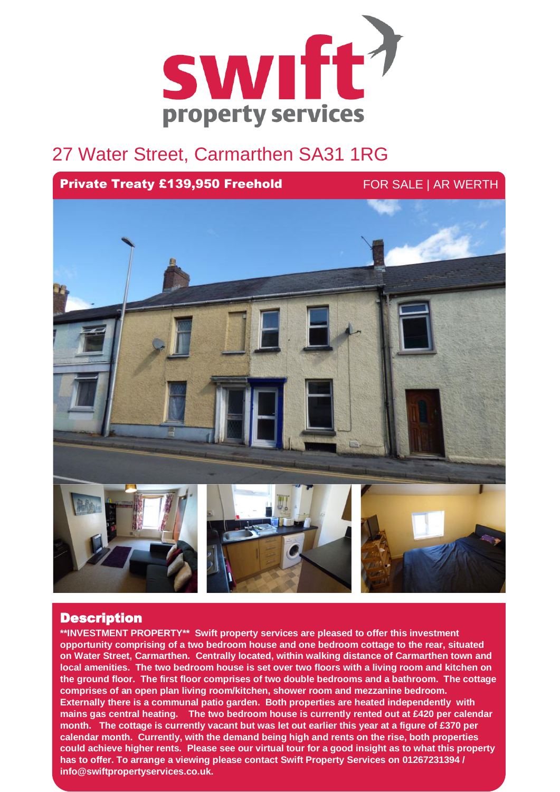

# 27 Water Street, Carmarthen SA31 1RG

### **Private Treaty £139,950 Freehold FOR SALE LAR WERTH**



### **Description**

**\*\*INVESTMENT PROPERTY\*\* Swift property services are pleased to offer this investment opportunity comprising of a two bedroom house and one bedroom cottage to the rear, situated on Water Street, Carmarthen. Centrally located, within walking distance of Carmarthen town and local amenities. The two bedroom house is set over two floors with a living room and kitchen on the ground floor. The first floor comprises of two double bedrooms and a bathroom. The cottage comprises of an open plan living room/kitchen, shower room and mezzanine bedroom. Externally there is a communal patio garden. Both properties are heated independently with mains gas central heating. The two bedroom house is currently rented out at £420 per calendar month. The cottage is currently vacant but was let out earlier this year at a figure of £370 per calendar month. Currently, with the demand being high and rents on the rise, both properties could achieve higher rents. Please see our virtual tour for a good insight as to what this property has to offer. To arrange a viewing please contact Swift Property Services on 01267231394 / info@swiftpropertyservices.co.uk.**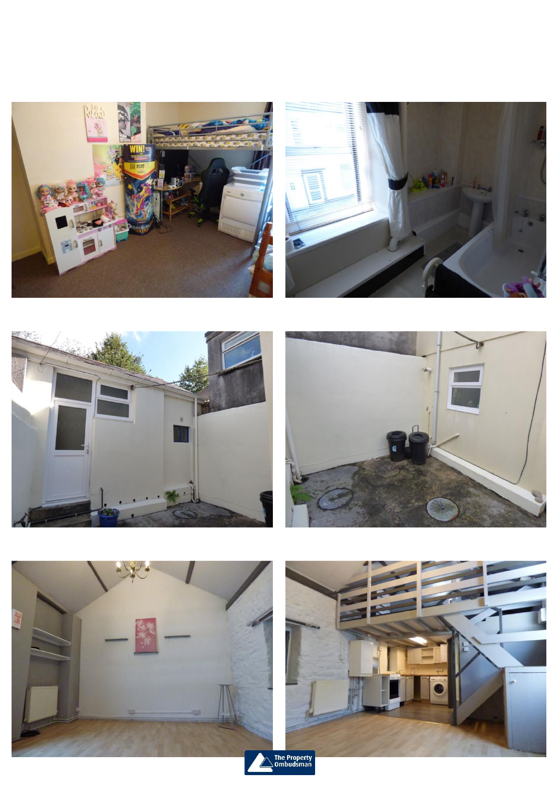











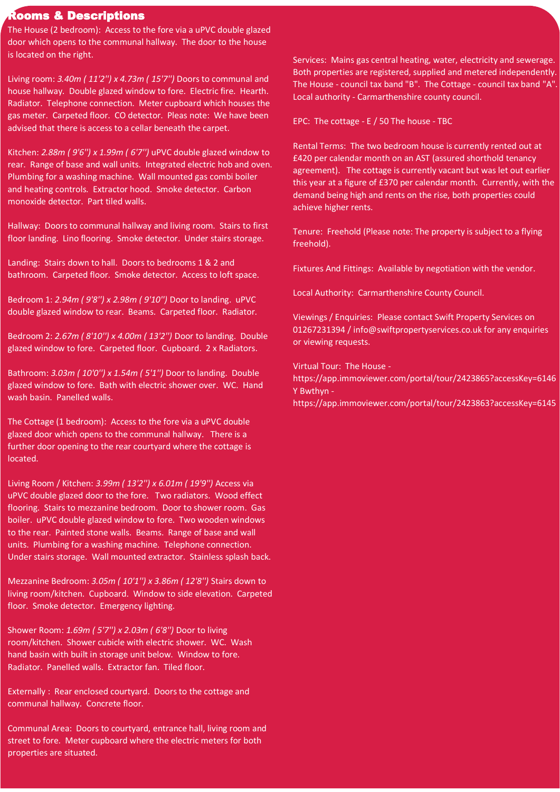#### Rooms & Descriptions

The House (2 bedroom): Access to the fore via a uPVC double glazed door which opens to the communal hallway. The door to the house is located on the right.

Living room: *3.40m ( 11'2'') x 4.73m ( 15'7'')* Doors to communal and house hallway. Double glazed window to fore. Electric fire. Hearth. Radiator. Telephone connection. Meter cupboard which houses the gas meter. Carpeted floor. CO detector. Pleas note: We have been advised that there is access to a cellar beneath the carpet.

Kitchen: *2.88m ( 9'6'') x 1.99m ( 6'7'')* uPVC double glazed window to rear. Range of base and wall units. Integrated electric hob and oven. Plumbing for a washing machine. Wall mounted gas combi boiler and heating controls. Extractor hood. Smoke detector. Carbon monoxide detector. Part tiled walls.

Hallway: Doors to communal hallway and living room. Stairs to first floor landing. Lino flooring. Smoke detector. Under stairs storage.

Landing: Stairs down to hall. Doors to bedrooms 1 & 2 and bathroom. Carpeted floor. Smoke detector. Access to loft space.

Bedroom 1: *2.94m ( 9'8'') x 2.98m ( 9'10'')* Door to landing. uPVC double glazed window to rear. Beams. Carpeted floor. Radiator.

Bedroom 2: *2.67m ( 8'10'') x 4.00m ( 13'2'')* Door to landing. Double glazed window to fore. Carpeted floor. Cupboard. 2 x Radiators.

Bathroom: *3.03m ( 10'0'') x 1.54m ( 5'1'')* Door to landing. Double glazed window to fore. Bath with electric shower over. WC. Hand wash basin. Panelled walls.

The Cottage (1 bedroom): Access to the fore via a uPVC double glazed door which opens to the communal hallway. There is a further door opening to the rear courtyard where the cottage is located.

Living Room / Kitchen: *3.99m ( 13'2'') x 6.01m ( 19'9'')* Access via uPVC double glazed door to the fore. Two radiators. Wood effect flooring. Stairs to mezzanine bedroom. Door to shower room. Gas boiler. uPVC double glazed window to fore. Two wooden windows to the rear. Painted stone walls. Beams. Range of base and wall units. Plumbing for a washing machine. Telephone connection. Under stairs storage. Wall mounted extractor. Stainless splash back.

Mezzanine Bedroom: *3.05m ( 10'1'') x 3.86m ( 12'8'')* Stairs down to living room/kitchen. Cupboard. Window to side elevation. Carpeted floor. Smoke detector. Emergency lighting.

Shower Room: *1.69m ( 5'7'') x 2.03m ( 6'8'')* Door to living room/kitchen. Shower cubicle with electric shower. WC. Wash hand basin with built in storage unit below. Window to fore. Radiator. Panelled walls. Extractor fan. Tiled floor.

Externally : Rear enclosed courtyard. Doors to the cottage and communal hallway. Concrete floor.

Communal Area: Doors to courtyard, entrance hall, living room and street to fore. Meter cupboard where the electric meters for both properties are situated.

Services: Mains gas central heating, water, electricity and sewerage. Both properties are registered, supplied and metered independently. The House - council tax band "B". The Cottage - council tax band "A". Local authority - Carmarthenshire county council.

EPC: The cottage - E / 50 The house - TBC

Rental Terms: The two bedroom house is currently rented out at £420 per calendar month on an AST (assured shorthold tenancy agreement). The cottage is currently vacant but was let out earlier this year at a figure of £370 per calendar month. Currently, with the demand being high and rents on the rise, both properties could achieve higher rents.

Tenure: Freehold (Please note: The property is subject to a flying freehold).

Fixtures And Fittings: Available by negotiation with the vendor.

Local Authority: Carmarthenshire County Council.

Viewings / Enquiries: Please contact Swift Property Services on 01267231394 / info@swiftpropertyservices.co.uk for any enquiries or viewing requests.

Virtual Tour: The House -

https://app.immoviewer.com/portal/tour/2423865?accessKey=6146 Y Bwthyn -

https://app.immoviewer.com/portal/tour/2423863?accessKey=6145